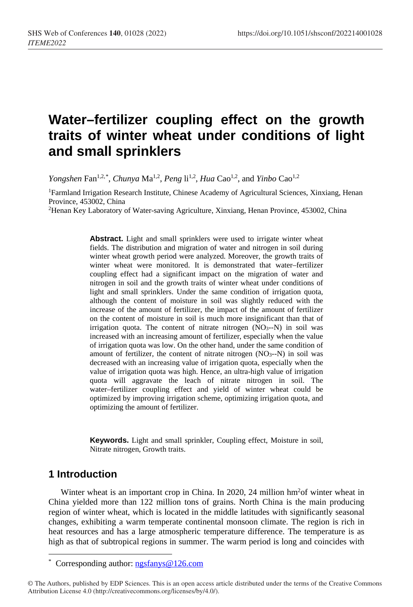# **Water–fertilizer coupling effect on the growth traits of winter wheat under conditions of light and small sprinklers**

*Yongshen* Fan<sup>1,2,[\\*](#page-0-0)</sup>, *Chunya* Ma<sup>1,2</sup>, *Peng* li<sup>1,2</sup>, *Hua* Cao<sup>1,2</sup>, and *Yinbo* Cao<sup>1,2</sup>

1Farmland Irrigation Research Institute, Chinese Academy of Agricultural Sciences, Xinxiang, Henan Province, 453002, China

2Henan Key Laboratory of Water-saving Agriculture, Xinxiang, Henan Province, 453002, China

Abstract. Light and small sprinklers were used to irrigate winter wheat fields. The distribution and migration of water and nitrogen in soil during winter wheat growth period were analyzed. Moreover, the growth traits of winter wheat were monitored. It is demonstrated that water–fertilizer coupling effect had a significant impact on the migration of water and nitrogen in soil and the growth traits of winter wheat under conditions of light and small sprinklers. Under the same condition of irrigation quota, although the content of moisture in soil was slightly reduced with the increase of the amount of fertilizer, the impact of the amount of fertilizer on the content of moisture in soil is much more insignificant than that of irrigation quota. The content of nitrate nitrogen  $(NO<sub>3</sub>–N)$  in soil was increased with an increasing amount of fertilizer, especially when the value of irrigation quota was low. On the other hand, under the same condition of amount of fertilizer, the content of nitrate nitrogen  $(NO<sub>3</sub>–N)$  in soil was decreased with an increasing value of irrigation quota, especially when the value of irrigation quota was high. Hence, an ultra-high value of irrigation quota will aggravate the leach of nitrate nitrogen in soil. The water–fertilizer coupling effect and yield of winter wheat could be optimized by improving irrigation scheme, optimizing irrigation quota, and optimizing the amount of fertilizer.

**Keywords.** Light and small sprinkler, Coupling effect, Moisture in soil, Nitrate nitrogen, Growth traits.

### **1 Introduction**

 $\overline{a}$ 

Winter wheat is an important crop in China. In 2020, 24 million hm<sup>2</sup>of winter wheat in China yielded more than 122 million tons of grains. North China is the main producing region of winter wheat, which is located in the middle latitudes with significantly seasonal changes, exhibiting a warm temperate continental monsoon climate. The region is rich in heat resources and has a large atmospheric temperature difference. The temperature is as high as that of subtropical regions in summer. The warm period is long and coincides with

<span id="page-0-0"></span>© The Authors, published by EDP Sciences. This is an open access article distributed under the terms of the Creative Commons Attribution License 4.0 (http://creativecommons.org/licenses/by/4.0/).

<sup>\*</sup> Corresponding author[: ngsfanys@126.com](mailto:ngsfanys@126.com)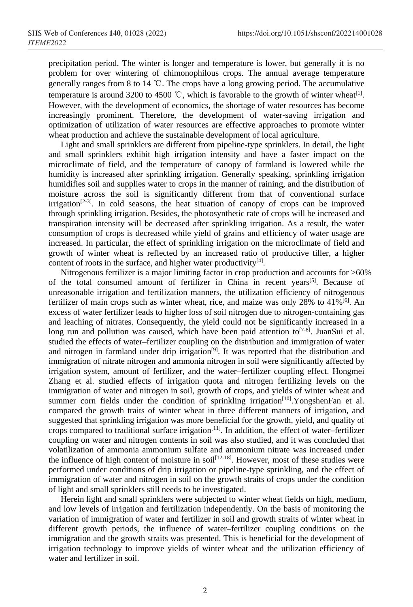precipitation period. The winter is longer and temperature is lower, but generally it is no problem for over wintering of chimonophilous crops. The annual average temperature generally ranges from 8 to 14 ℃. The crops have a long growing period. The accumulative temperature is around 3200 to 4500 °C, which is favorable to the growth of winter wheat<sup>[1]</sup>. However, with the development of economics, the shortage of water resources has become increasingly prominent. Therefore, the development of water-saving irrigation and optimization of utilization of water resources are effective approaches to promote winter wheat production and achieve the sustainable development of local agriculture.

Light and small sprinklers are different from pipeline-type sprinklers. In detail, the light and small sprinklers exhibit high irrigation intensity and have a faster impact on the microclimate of field, and the temperature of canopy of farmland is lowered while the humidity is increased after sprinkling irrigation. Generally speaking, sprinkling irrigation humidifies soil and supplies water to crops in the manner of raining, and the distribution of moisture across the soil is significantly different from that of conventional surface  $irrigation^{[2-3]}$ . In cold seasons, the heat situation of canopy of crops can be improved through sprinkling irrigation. Besides, the photosynthetic rate of crops will be increased and transpiration intensity will be decreased after sprinkling irrigation. As a result, the water consumption of crops is decreased while yield of grains and efficiency of water usage are increased. In particular, the effect of sprinkling irrigation on the microclimate of field and growth of winter wheat is reflected by an increased ratio of productive tiller, a higher content of roots in the surface, and higher water productivity $[4]$ .

Nitrogenous fertilizer is a major limiting factor in crop production and accounts for >60% of the total consumed amount of fertilizer in China in recent years<sup>[5]</sup>. Because of unreasonable irrigation and fertilization manners, the utilization efficiency of nitrogenous fertilizer of main crops such as winter wheat, rice, and maize was only 28% to 41%[6]. An excess of water fertilizer leads to higher loss of soil nitrogen due to nitrogen-containing gas and leaching of nitrates. Consequently, the yield could not be significantly increased in a long run and pollution was caused, which have been paid attention to  $[7-8]$ . JuanSui et al. studied the effects of water–fertilizer coupling on the distribution and immigration of water and nitrogen in farmland under drip irrigation<sup>[9]</sup>. It was reported that the distribution and immigration of nitrate nitrogen and ammonia nitrogen in soil were significantly affected by irrigation system, amount of fertilizer, and the water–fertilizer coupling effect. Hongmei Zhang et al. studied effects of irrigation quota and nitrogen fertilizing levels on the immigration of water and nitrogen in soil, growth of crops, and yields of winter wheat and summer corn fields under the condition of sprinkling irrigation<sup>[10]</sup>.YongshenFan et al. compared the growth traits of winter wheat in three different manners of irrigation, and suggested that sprinkling irrigation was more beneficial for the growth, yield, and quality of crops compared to traditional surface irrigation<sup>[11]</sup>. In addition, the effect of water-fertilizer coupling on water and nitrogen contents in soil was also studied, and it was concluded that volatilization of ammonia ammonium sulfate and ammonium nitrate was increased under the influence of high content of moisture in soil<sup>[12-18]</sup>. However, most of these studies were performed under conditions of drip irrigation or pipeline-type sprinkling, and the effect of immigration of water and nitrogen in soil on the growth straits of crops under the condition of light and small sprinklers still needs to be investigated.

Herein light and small sprinklers were subjected to winter wheat fields on high, medium, and low levels of irrigation and fertilization independently. On the basis of monitoring the variation of immigration of water and fertilizer in soil and growth straits of winter wheat in different growth periods, the influence of water–fertilizer coupling conditions on the immigration and the growth straits was presented. This is beneficial for the development of irrigation technology to improve yields of winter wheat and the utilization efficiency of water and fertilizer in soil.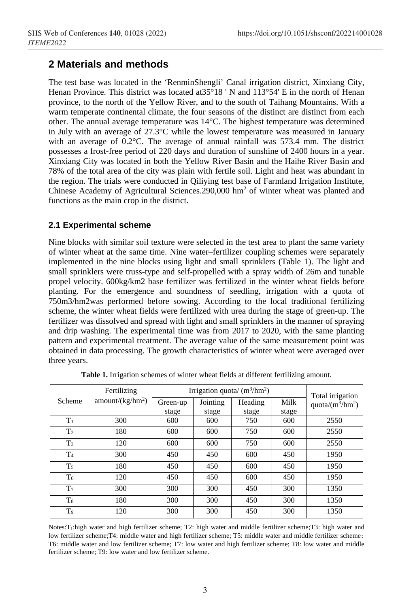# **2 Materials and methods**

The test base was located in the 'RenminShengli' Canal irrigation district, Xinxiang City, Henan Province. This district was located at  $35^{\circ}18$  'N and  $113^{\circ}54$ ' E in the north of Henan province, to the north of the Yellow River, and to the south of Taihang Mountains. With a warm temperate continental climate, the four seasons of the distinct are distinct from each other. The annual average temperature was 14°C. The highest temperature was determined in July with an average of 27.3°C while the lowest temperature was measured in January with an average of 0.2°C. The average of annual rainfall was 573.4 mm. The district possesses a frost-free period of 220 days and duration of sunshine of 2400 hours in a year. Xinxiang City was located in both the Yellow River Basin and the Haihe River Basin and 78% of the total area of the city was plain with fertile soil. Light and heat was abundant in the region. The trials were conducted in Qiliying test base of Farmland Irrigation Institute, Chinese Academy of Agricultural Sciences.290,000 hm2 of winter wheat was planted and functions as the main crop in the district.

### **2.1 Experimental scheme**

Nine blocks with similar soil texture were selected in the test area to plant the same variety of winter wheat at the same time. Nine water–fertilizer coupling schemes were separately implemented in the nine blocks using light and small sprinklers (Table 1). The light and small sprinklers were truss-type and self-propelled with a spray width of 26m and tunable propel velocity. 600kg/km2 base fertilizer was fertilized in the winter wheat fields before planting. For the emergence and soundness of seedling, irrigation with a quota of 750m3/hm2was performed before sowing. According to the local traditional fertilizing scheme, the winter wheat fields were fertilized with urea during the stage of green-up. The fertilizer was dissolved and spread with light and small sprinklers in the manner of spraying and drip washing. The experimental time was from 2017 to 2020, with the same planting pattern and experimental treatment. The average value of the same measurement point was obtained in data processing. The growth characteristics of winter wheat were averaged over three years.

|                | Fertilizing                  | Irrigation quota/ $(m^3/hm^2)$ |          |         |       | Total irrigation    |
|----------------|------------------------------|--------------------------------|----------|---------|-------|---------------------|
| Scheme         | amount/(kg/hm <sup>2</sup> ) | Green-up                       | Jointing | Heading | Milk  | quota/ $(m^3/hm^2)$ |
|                |                              | stage                          | stage    | stage   | stage |                     |
| $T_1$          | 300                          | 600                            | 600      | 750     | 600   | 2550                |
| T <sub>2</sub> | 180                          | 600                            | 600      | 750     | 600   | 2550                |
| T <sub>3</sub> | 120                          | 600                            | 600      | 750     | 600   | 2550                |
| T <sub>4</sub> | 300                          | 450                            | 450      | 600     | 450   | 1950                |
| T <sub>5</sub> | 180                          | 450                            | 450      | 600     | 450   | 1950                |
| $T_6$          | 120                          | 450                            | 450      | 600     | 450   | 1950                |
| T <sub>7</sub> | 300                          | 300                            | 300      | 450     | 300   | 1350                |
| $T_{8}$        | 180                          | 300                            | 300      | 450     | 300   | 1350                |
| T9             | 120                          | 300                            | 300      | 450     | 300   | 1350                |

**Table 1.** Irrigation schemes of winter wheat fields at different fertilizing amount.

Notes:T1:high water and high fertilizer scheme; T2: high water and middle fertilizer scheme;T3: high water and low fertilizer scheme;T4: middle water and high fertilizer scheme; T5: middle water and middle fertilizer scheme; T6: middle water and low fertilizer scheme; T7: low water and high fertilizer scheme; T8: low water and middle fertilizer scheme; T9: low water and low fertilizer scheme.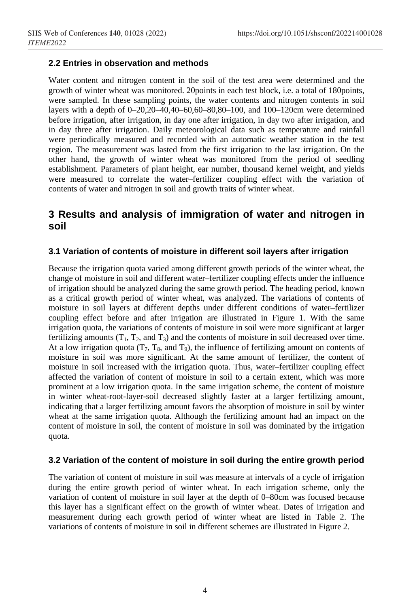#### **2.2 Entries in observation and methods**

Water content and nitrogen content in the soil of the test area were determined and the growth of winter wheat was monitored. 20points in each test block, i.e. a total of 180points, were sampled. In these sampling points, the water contents and nitrogen contents in soil layers with a depth of 0–20,20–40,40–60,60–80,80–100, and 100–120cm were determined before irrigation, after irrigation, in day one after irrigation, in day two after irrigation, and in day three after irrigation. Daily meteorological data such as temperature and rainfall were periodically measured and recorded with an automatic weather station in the test region. The measurement was lasted from the first irrigation to the last irrigation. On the other hand, the growth of winter wheat was monitored from the period of seedling establishment. Parameters of plant height, ear number, thousand kernel weight, and yields were measured to correlate the water–fertilizer coupling effect with the variation of contents of water and nitrogen in soil and growth traits of winter wheat.

## **3 Results and analysis of immigration of water and nitrogen in soil**

### **3.1 Variation of contents of moisture in different soil layers after irrigation**

Because the irrigation quota varied among different growth periods of the winter wheat, the change of moisture in soil and different water–fertilizer coupling effects under the influence of irrigation should be analyzed during the same growth period. The heading period, known as a critical growth period of winter wheat, was analyzed. The variations of contents of moisture in soil layers at different depths under different conditions of water–fertilizer coupling effect before and after irrigation are illustrated in Figure 1. With the same irrigation quota, the variations of contents of moisture in soil were more significant at larger fertilizing amounts  $(T_1, T_2, \text{ and } T_3)$  and the contents of moisture in soil decreased over time. At a low irrigation quota  $(T_7, T_8, \text{ and } T_9)$ , the influence of fertilizing amount on contents of moisture in soil was more significant. At the same amount of fertilizer, the content of moisture in soil increased with the irrigation quota. Thus, water–fertilizer coupling effect affected the variation of content of moisture in soil to a certain extent, which was more prominent at a low irrigation quota. In the same irrigation scheme, the content of moisture in winter wheat-root-layer-soil decreased slightly faster at a larger fertilizing amount, indicating that a larger fertilizing amount favors the absorption of moisture in soil by winter wheat at the same irrigation quota. Although the fertilizing amount had an impact on the content of moisture in soil, the content of moisture in soil was dominated by the irrigation quota.

#### **3.2 Variation of the content of moisture in soil during the entire growth period**

The variation of content of moisture in soil was measure at intervals of a cycle of irrigation during the entire growth period of winter wheat. In each irrigation scheme, only the variation of content of moisture in soil layer at the depth of 0–80cm was focused because this layer has a significant effect on the growth of winter wheat. Dates of irrigation and measurement during each growth period of winter wheat are listed in Table 2. The variations of contents of moisture in soil in different schemes are illustrated in Figure 2.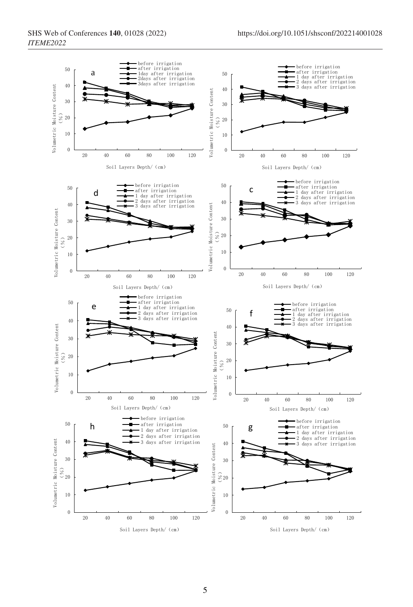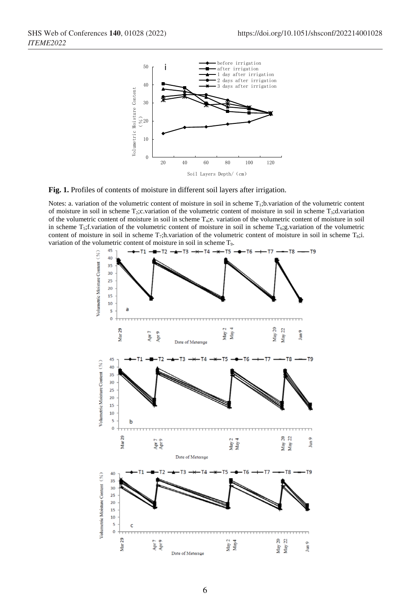

**Fig. 1.** Profiles of contents of moisture in different soil layers after irrigation.

Notes: a. variation of the volumetric content of moisture in soil in scheme T<sub>1</sub>;b.variation of the volumetric content of moisture in soil in scheme  $T_2$ ;c.variation of the volumetric content of moisture in soil in scheme  $T_3$ ;d.variation of the volumetric content of moisture in soil in scheme T4;e. variation of the volumetric content of moisture in soil in scheme  $T_5$ ;f.variation of the volumetric content of moisture in soil in scheme  $T_6$ ;g.variation of the volumetric content of moisture in soil in scheme  $T_7$ ;h.variation of the volumetric content of moisture in soil in scheme  $T_8$ ;i. variation of the volumetric content of moisture in soil in scheme T9.

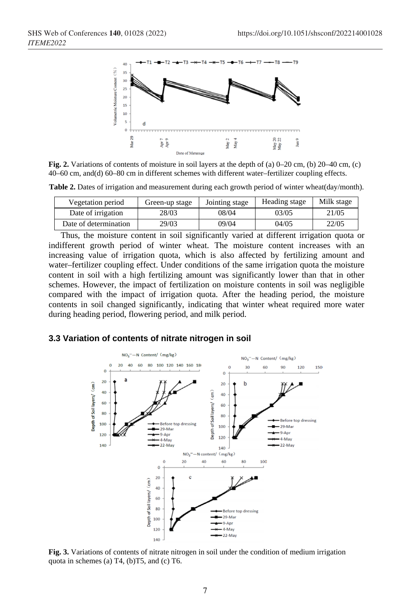

**Fig. 2.** Variations of contents of moisture in soil layers at the depth of (a) 0–20 cm, (b) 20–40 cm, (c) 40–60 cm, and(d) 60–80 cm in different schemes with different water–fertilizer coupling effects.

**Table 2.** Dates of irrigation and measurement during each growth period of winter wheat(day/month).

| Vegetation period     | Green-up stage | Jointing stage | Heading stage | Milk stage |
|-----------------------|----------------|----------------|---------------|------------|
| Date of irrigation    | 28/03          | 08/04          | 03/05         | 21/05      |
| Date of determination | 29/03          | 09/04          | 04/05         | 22/05      |

Thus, the moisture content in soil significantly varied at different irrigation quota or indifferent growth period of winter wheat. The moisture content increases with an increasing value of irrigation quota, which is also affected by fertilizing amount and water–fertilizer coupling effect. Under conditions of the same irrigation quota the moisture content in soil with a high fertilizing amount was significantly lower than that in other schemes. However, the impact of fertilization on moisture contents in soil was negligible compared with the impact of irrigation quota. After the heading period, the moisture contents in soil changed significantly, indicating that winter wheat required more water during heading period, flowering period, and milk period.

#### **3.3 Variation of contents of nitrate nitrogen in soil**



**Fig. 3.** Variations of contents of nitrate nitrogen in soil under the condition of medium irrigation quota in schemes (a) T4, (b)T5, and (c) T6.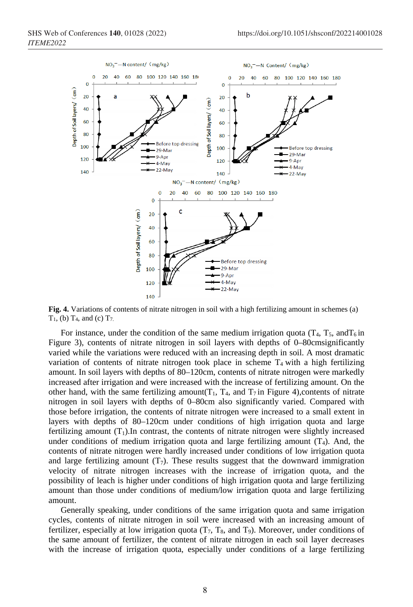

**Fig. 4.** Variations of contents of nitrate nitrogen in soil with a high fertilizing amount in schemes (a)  $T_1$ , (b)  $T_4$ , and (c)  $T_7$ .

For instance, under the condition of the same medium irrigation quota ( $T_4$ ,  $T_5$ , and  $T_6$  in Figure 3), contents of nitrate nitrogen in soil layers with depths of 0–80cmsignificantly varied while the variations were reduced with an increasing depth in soil. A most dramatic variation of contents of nitrate nitrogen took place in scheme  $T_4$  with a high fertilizing amount. In soil layers with depths of 80–120cm, contents of nitrate nitrogen were markedly increased after irrigation and were increased with the increase of fertilizing amount. On the other hand, with the same fertilizing amount( $T_1$ ,  $T_4$ , and  $T_7$  in Figure 4),contents of nitrate nitrogen in soil layers with depths of 0–80cm also significantly varied. Compared with those before irrigation, the contents of nitrate nitrogen were increased to a small extent in layers with depths of 80–120cm under conditions of high irrigation quota and large fertilizing amount  $(T_1)$ . In contrast, the contents of nitrate nitrogen were slightly increased under conditions of medium irrigation quota and large fertilizing amount  $(T_4)$ . And, the contents of nitrate nitrogen were hardly increased under conditions of low irrigation quota and large fertilizing amount  $(T_7)$ . These results suggest that the downward immigration velocity of nitrate nitrogen increases with the increase of irrigation quota, and the possibility of leach is higher under conditions of high irrigation quota and large fertilizing amount than those under conditions of medium/low irrigation quota and large fertilizing amount.

Generally speaking, under conditions of the same irrigation quota and same irrigation cycles, contents of nitrate nitrogen in soil were increased with an increasing amount of fertilizer, especially at low irrigation quota  $(T_7, T_8,$  and  $T_9)$ . Moreover, under conditions of the same amount of fertilizer, the content of nitrate nitrogen in each soil layer decreases with the increase of irrigation quota, especially under conditions of a large fertilizing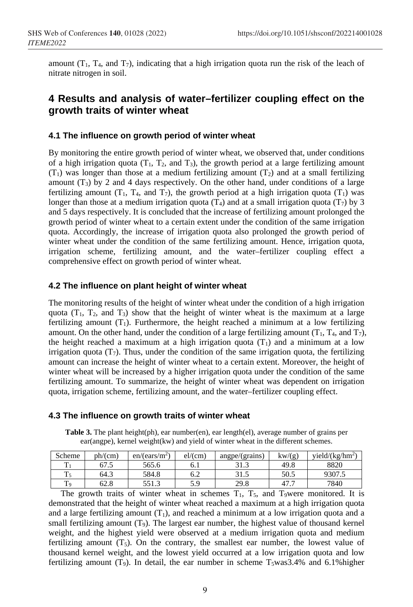amount  $(T_1, T_4,$  and  $T_7)$ , indicating that a high irrigation quota run the risk of the leach of nitrate nitrogen in soil.

## **4 Results and analysis of water–fertilizer coupling effect on the growth traits of winter wheat**

#### **4.1 The influence on growth period of winter wheat**

By monitoring the entire growth period of winter wheat, we observed that, under conditions of a high irrigation quota  $(T_1, T_2,$  and  $T_3)$ , the growth period at a large fertilizing amount  $(T_1)$  was longer than those at a medium fertilizing amount  $(T_2)$  and at a small fertilizing amount  $(T_3)$  by 2 and 4 days respectively. On the other hand, under conditions of a large fertilizing amount  $(T_1, T_4,$  and  $T_7$ ), the growth period at a high irrigation quota  $(T_1)$  was longer than those at a medium irrigation quota  $(T_4)$  and at a small irrigation quota  $(T_7)$  by 3 and 5 days respectively. It is concluded that the increase of fertilizing amount prolonged the growth period of winter wheat to a certain extent under the condition of the same irrigation quota. Accordingly, the increase of irrigation quota also prolonged the growth period of winter wheat under the condition of the same fertilizing amount. Hence, irrigation quota, irrigation scheme, fertilizing amount, and the water–fertilizer coupling effect a comprehensive effect on growth period of winter wheat.

#### **4.2 The influence on plant height of winter wheat**

The monitoring results of the height of winter wheat under the condition of a high irrigation quota  $(T_1, T_2,$  and  $T_3$ ) show that the height of winter wheat is the maximum at a large fertilizing amount  $(T_1)$ . Furthermore, the height reached a minimum at a low fertilizing amount. On the other hand, under the condition of a large fertilizing amount  $(T_1, T_4, T_4, T_7)$ , the height reached a maximum at a high irrigation quota  $(T_1)$  and a minimum at a low irrigation quota  $(T_7)$ . Thus, under the condition of the same irrigation quota, the fertilizing amount can increase the height of winter wheat to a certain extent. Moreover, the height of winter wheat will be increased by a higher irrigation quota under the condition of the same fertilizing amount. To summarize, the height of winter wheat was dependent on irrigation quota, irrigation scheme, fertilizing amount, and the water–fertilizer coupling effect.

#### **4.3 The influence on growth traits of winter wheat**

**Table 3.** The plant height(ph), ear number(en), ear length(el), average number of grains per ear(angpe), kernel weight(kw) and yield of winter wheat in the different schemes.

| Scheme  | ph/(cm) | en/(ears/m <sup>2</sup> ) | el/(cm) | angpe/(grains) | kw/(g) | vield/(kg/hm <sup>2</sup> ) |
|---------|---------|---------------------------|---------|----------------|--------|-----------------------------|
| m       | 67.5    | 565.6                     | 6. I    | J I.J          | 49.8   | 8820                        |
| т.      | 64.3    | 584.8                     | 6.2     | 31.J           | 50.5   | 9307.5                      |
| m<br>19 | 62.8    | 551.3                     | 50      | 29.8           |        | 7840                        |

The growth traits of winter wheat in schemes  $T_1$ ,  $T_5$ , and  $T_9$ were monitored. It is demonstrated that the height of winter wheat reached a maximum at a high irrigation quota and a large fertilizing amount  $(T_1)$ , and reached a minimum at a low irrigation quota and a small fertilizing amount  $(T_9)$ . The largest ear number, the highest value of thousand kernel weight, and the highest yield were observed at a medium irrigation quota and medium fertilizing amount  $(T_5)$ . On the contrary, the smallest ear number, the lowest value of thousand kernel weight, and the lowest yield occurred at a low irrigation quota and low fertilizing amount  $(T<sub>9</sub>)$ . In detail, the ear number in scheme  $T<sub>5</sub>was3.4%$  and 6.1% higher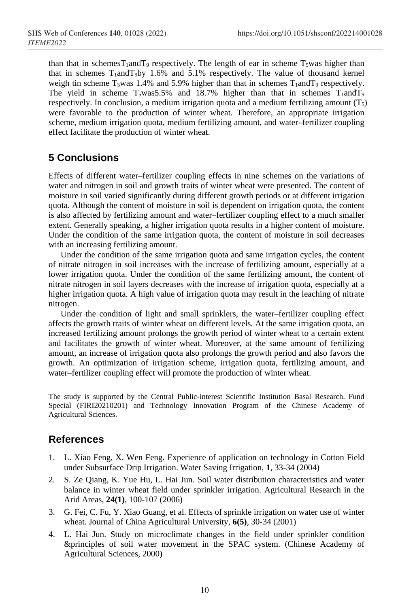than that in schemesT<sub>1</sub>andT<sub>9</sub> respectively. The length of ear in scheme T<sub>5</sub>was higher than that in schemes  $T_1$ and $T_9$ by 1.6% and 5.1% respectively. The value of thousand kernel weigh tin scheme  $T_5$ was 1.4% and 5.9% higher than that in schemes  $T_1$ and $T_9$  respectively. The yield in scheme  $T_5was5.5%$  and 18.7% higher than that in schemes  $T_1$ and $T_9$ respectively. In conclusion, a medium irrigation quota and a medium fertilizing amount  $(T_5)$ were favorable to the production of winter wheat. Therefore, an appropriate irrigation scheme, medium irrigation quota, medium fertilizing amount, and water–fertilizer coupling effect facilitate the production of winter wheat.

## **5 Conclusions**

Effects of different water–fertilizer coupling effects in nine schemes on the variations of water and nitrogen in soil and growth traits of winter wheat were presented. The content of moisture in soil varied significantly during different growth periods or at different irrigation quota. Although the content of moisture in soil is dependent on irrigation quota, the content is also affected by fertilizing amount and water–fertilizer coupling effect to a much smaller extent. Generally speaking, a higher irrigation quota results in a higher content of moisture. Under the condition of the same irrigation quota, the content of moisture in soil decreases with an increasing fertilizing amount.

Under the condition of the same irrigation quota and same irrigation cycles, the content of nitrate nitrogen in soil increases with the increase of fertilizing amount, especially at a lower irrigation quota. Under the condition of the same fertilizing amount, the content of nitrate nitrogen in soil layers decreases with the increase of irrigation quota, especially at a higher irrigation quota. A high value of irrigation quota may result in the leaching of nitrate nitrogen.

Under the condition of light and small sprinklers, the water–fertilizer coupling effect affects the growth traits of winter wheat on different levels. At the same irrigation quota, an increased fertilizing amount prolongs the growth period of winter wheat to a certain extent and facilitates the growth of winter wheat. Moreover, at the same amount of fertilizing amount, an increase of irrigation quota also prolongs the growth period and also favors the growth. An optimization of irrigation scheme, irrigation quota, fertilizing amount, and water–fertilizer coupling effect will promote the production of winter wheat.

The study is supported by the Central Public-interest Scientific Institution Basal Research. Fund Special (FIRI20210201) and Technology Innovation Program of the Chinese Academy of Agricultural Sciences.

### **References**

- 1. L. Xiao Feng, X. Wen Feng. Experience of application on technology in Cotton Field under Subsurface Drip Irrigation. Water Saving Irrigation, **1**, 33-34 (2004)
- 2. S. Ze Qiang, K. Yue Hu, L. Hai Jun. Soil water distribution characteristics and water balance in winter wheat field under sprinkler irrigation. Agricultural Research in the Arid Areas, **24(1)**, 100-107 (2006)
- 3. G. Fei, C. Fu, Y. Xiao Guang, et al. Effects of sprinkle irrigation on water use of winter wheat. Journal of China Agricultural University, **6(5)**, 30-34 (2001)
- 4. L. Hai Jun. Study on microclimate changes in the field under sprinkler condition &principles of soil water movement in the SPAC system. (Chinese Academy of Agricultural Sciences, 2000)